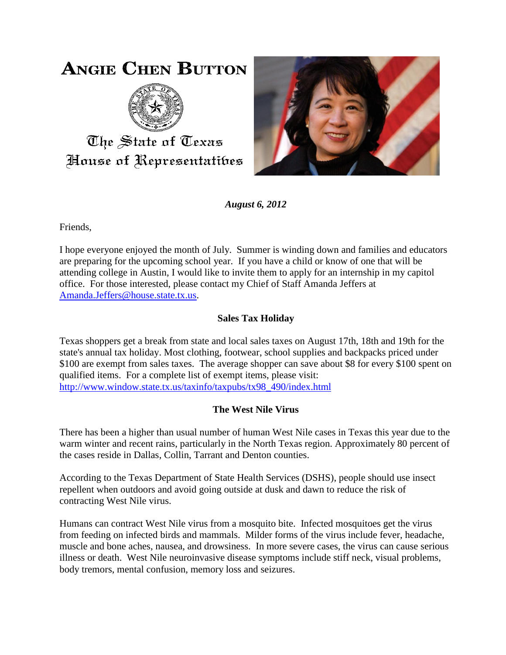## **ANGIE CHEN BUTTON**



The State of Texas House of Representatibes



*August 6, 2012*

Friends,

I hope everyone enjoyed the month of July. Summer is winding down and families and educators are preparing for the upcoming school year. If you have a child or know of one that will be attending college in Austin, I would like to invite them to apply for an internship in my capitol office. For those interested, please contact my Chief of Staff Amanda Jeffers at [Amanda.Jeffers@house.state.tx.us.](mailto:Amanda.Jeffers@house.state.tx.us)

## **Sales Tax Holiday**

Texas shoppers get a break from state and local sales taxes on August 17th, 18th and 19th for the state's annual tax holiday. Most clothing, footwear, school supplies and backpacks priced under \$100 are exempt from sales taxes. The average shopper can save about \$8 for every \$100 spent on qualified items. For a complete list of exempt items, please visit: [http://www.window.state.tx.us/taxinfo/taxpubs/tx98\\_490/index.html](http://www.window.state.tx.us/taxinfo/taxpubs/tx98_490/index.html)

## **The West Nile Virus**

There has been a higher than usual number of human West Nile cases in Texas this year due to the warm winter and recent rains, particularly in the North Texas region. Approximately 80 percent of the cases reside in Dallas, Collin, Tarrant and Denton counties.

According to the Texas Department of State Health Services (DSHS), people should use insect repellent when outdoors and avoid going outside at dusk and dawn to reduce the risk of contracting West Nile virus.

Humans can contract West Nile virus from a mosquito bite. Infected mosquitoes get the virus from feeding on infected birds and mammals. Milder forms of the virus include fever, headache, muscle and bone aches, nausea, and drowsiness. In more severe cases, the virus can cause serious illness or death. West Nile neuroinvasive disease symptoms include stiff neck, visual problems, body tremors, mental confusion, memory loss and seizures.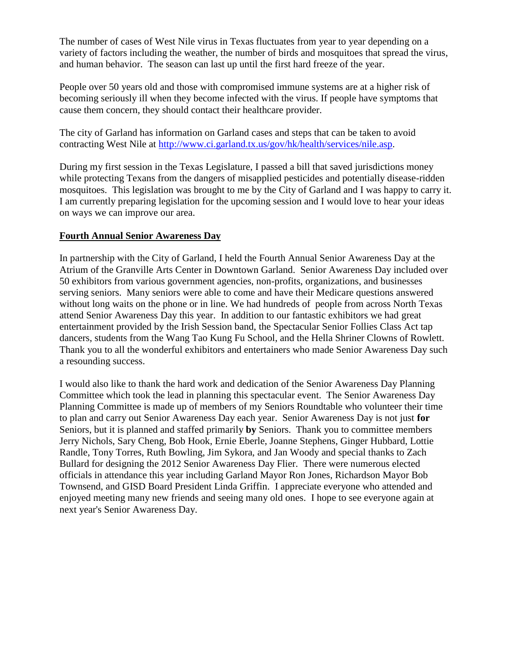The number of cases of West Nile virus in Texas fluctuates from year to year depending on a variety of factors including the weather, the number of birds and mosquitoes that spread the virus, and human behavior. The season can last up until the first hard freeze of the year.

People over 50 years old and those with compromised immune systems are at a higher risk of becoming seriously ill when they become infected with the virus. If people have symptoms that cause them concern, they should contact their healthcare provider.

The city of Garland has information on Garland cases and steps that can be taken to avoid contracting West Nile at [http://www.ci.garland.tx.us/gov/hk/health/services/nile.asp.](http://www.ci.garland.tx.us/gov/hk/health/services/nile.asp)

During my first session in the Texas Legislature, I passed a bill that saved jurisdictions money while protecting Texans from the dangers of misapplied pesticides and potentially disease-ridden mosquitoes. This legislation was brought to me by the City of Garland and I was happy to carry it. I am currently preparing legislation for the upcoming session and I would love to hear your ideas on ways we can improve our area.

## **Fourth Annual Senior Awareness Day**

In partnership with the City of Garland, I held the Fourth Annual Senior Awareness Day at the Atrium of the Granville Arts Center in Downtown Garland. Senior Awareness Day included over 50 exhibitors from various government agencies, non-profits, organizations, and businesses serving seniors. Many seniors were able to come and have their Medicare questions answered without long waits on the phone or in line. We had hundreds of people from across North Texas attend Senior Awareness Day this year. In addition to our fantastic exhibitors we had great entertainment provided by the Irish Session band, the Spectacular Senior Follies Class Act tap dancers, students from the Wang Tao Kung Fu School, and the Hella Shriner Clowns of Rowlett. Thank you to all the wonderful exhibitors and entertainers who made Senior Awareness Day such a resounding success.

I would also like to thank the hard work and dedication of the Senior Awareness Day Planning Committee which took the lead in planning this spectacular event. The Senior Awareness Day Planning Committee is made up of members of my Seniors Roundtable who volunteer their time to plan and carry out Senior Awareness Day each year. Senior Awareness Day is not just **for** Seniors, but it is planned and staffed primarily **by** Seniors. Thank you to committee members Jerry Nichols, Sary Cheng, Bob Hook, Ernie Eberle, Joanne Stephens, Ginger Hubbard, Lottie Randle, Tony Torres, Ruth Bowling, Jim Sykora, and Jan Woody and special thanks to Zach Bullard for designing the 2012 Senior Awareness Day Flier. There were numerous elected officials in attendance this year including Garland Mayor Ron Jones, Richardson Mayor Bob Townsend, and GISD Board President Linda Griffin. I appreciate everyone who attended and enjoyed meeting many new friends and seeing many old ones. I hope to see everyone again at next year's Senior Awareness Day.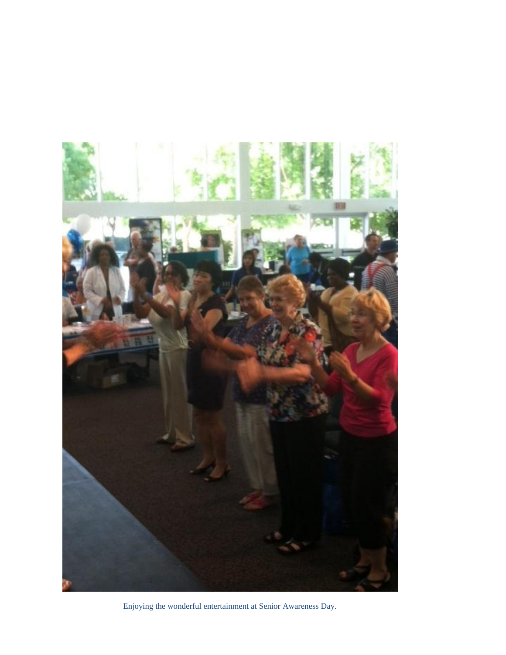

Enjoying the wonderful entertainment at Senior Awareness Day.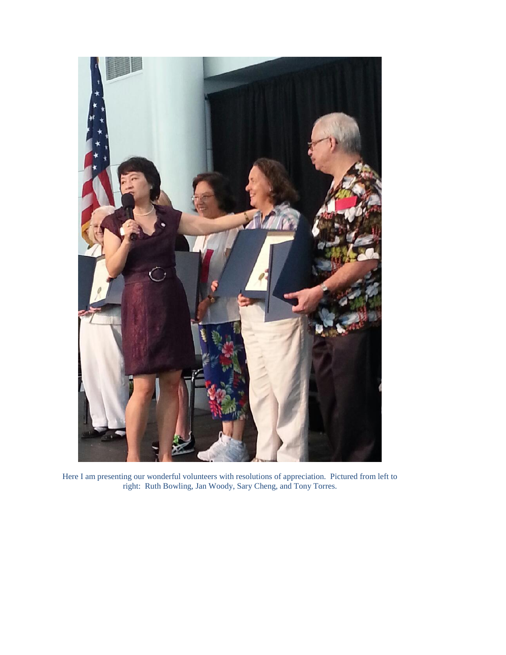

Here I am presenting our wonderful volunteers with resolutions of appreciation. Pictured from left to right: Ruth Bowling, Jan Woody, Sary Cheng, and Tony Torres.